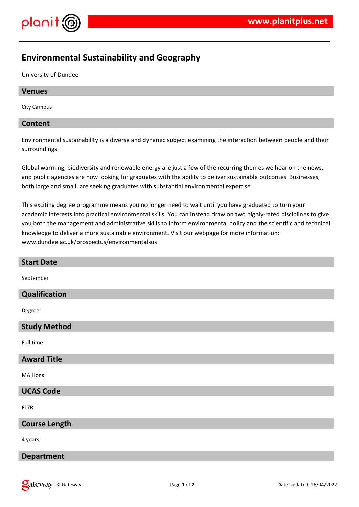

# **Environmental Sustainability and Geography**

University of Dundee

## **Venues**

City Campus

## **Content**

Environmental sustainability is a diverse and dynamic subject examining the interaction between people and their surroundings.

Global warming, biodiversity and renewable energy are just a few of the recurring themes we hear on the news, and public agencies are now looking for graduates with the ability to deliver sustainable outcomes. Businesses, both large and small, are seeking graduates with substantial environmental expertise.

This exciting degree programme means you no longer need to wait until you have graduated to turn your academic interests into practical environmental skills. You can instead draw on two highly-rated disciplines to give you both the management and administrative skills to inform environmental policy and the scientific and technical knowledge to deliver a more sustainable environment. Visit our webpage for more information: www.dundee.ac.uk/prospectus/environmentalsus

| <b>Start Date</b>    |
|----------------------|
| September            |
| Qualification        |
| Degree               |
| <b>Study Method</b>  |
| Full time            |
| <b>Award Title</b>   |
| MA Hons              |
| <b>UCAS Code</b>     |
| FL7R                 |
| <b>Course Length</b> |
| 4 years              |
| <b>Department</b>    |